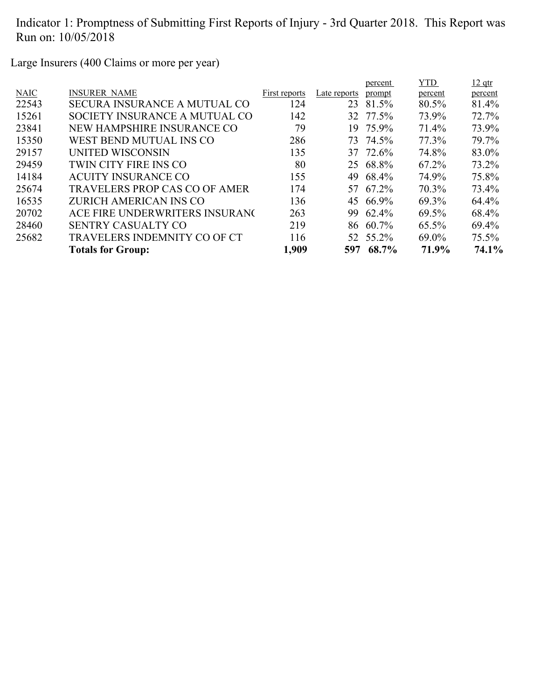Large Insurers (400 Claims or more per year)

|                                      |               |              | percent | <b>YTD</b>                                                                                                                                 | $12$ qtr |
|--------------------------------------|---------------|--------------|---------|--------------------------------------------------------------------------------------------------------------------------------------------|----------|
| <b>INSURER NAME</b>                  | First reports | Late reports | prompt  | percent                                                                                                                                    | percent  |
| <b>SECURA INSURANCE A MUTUAL CO</b>  | 124           | 23           |         | 80.5%                                                                                                                                      | 81.4%    |
| SOCIETY INSURANCE A MUTUAL CO        | 142           |              |         | 73.9%                                                                                                                                      | 72.7%    |
| NEW HAMPSHIRE INSURANCE CO           | 79            | 19.          |         | 71.4%                                                                                                                                      | 73.9%    |
| WEST BEND MUTUAL INS CO              | 286           |              |         | 77.3%                                                                                                                                      | 79.7%    |
| UNITED WISCONSIN                     | 135           |              |         | 74.8%                                                                                                                                      | 83.0%    |
| TWIN CITY FIRE INS CO                | 80            |              |         | 67.2%                                                                                                                                      | 73.2%    |
| <b>ACUITY INSURANCE CO</b>           | 155           |              |         | 74.9%                                                                                                                                      | 75.8%    |
| <b>TRAVELERS PROP CAS CO OF AMER</b> | 174           |              |         | 70.3%                                                                                                                                      | 73.4%    |
| <b>ZURICH AMERICAN INS CO</b>        | 136           |              |         | $69.3\%$                                                                                                                                   | 64.4%    |
| ACE FIRE UNDERWRITERS INSURANG       | 263           | 99.          |         | 69.5%                                                                                                                                      | 68.4%    |
| <b>SENTRY CASUALTY CO</b>            | 219           |              |         | $65.5\%$                                                                                                                                   | 69.4%    |
| <b>TRAVELERS INDEMNITY CO OF CT</b>  | 116           |              |         | 69.0%                                                                                                                                      | $75.5\%$ |
| <b>Totals for Group:</b>             | 1,909         |              | 68.7%   | 71.9%                                                                                                                                      | 74.1%    |
|                                      |               |              |         | 81.5%<br>32 77.5%<br>75.9%<br>73 74.5%<br>37 72.6%<br>25 68.8%<br>49 68.4%<br>57 67.2%<br>45 66.9%<br>62.4%<br>86 60.7%<br>52 55.2%<br>597 |          |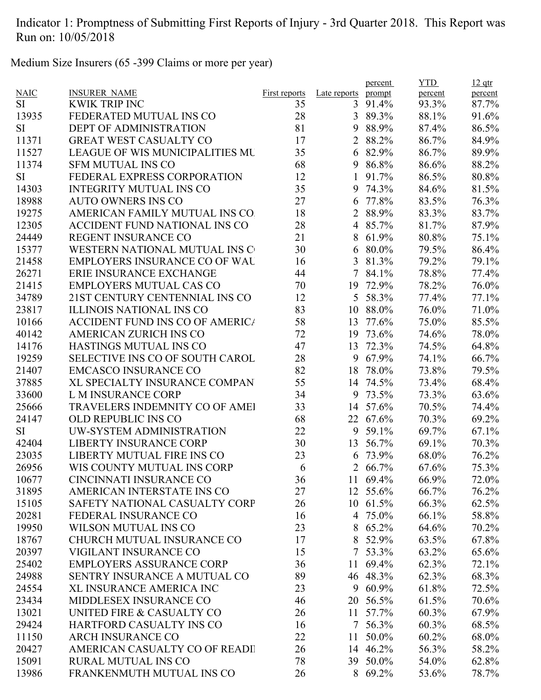Medium Size Insurers (65 -399 Claims or more per year)

|             |                                        |               |                | percent         | <b>YTD</b>     | $12$ qtr |
|-------------|----------------------------------------|---------------|----------------|-----------------|----------------|----------|
| <b>NAIC</b> | <b>INSURER NAME</b>                    | First reports | Late reports   | prompt          | percent        | percent  |
| SI          | <b>KWIK TRIP INC</b>                   | 35            | 3              | 91.4%           | 93.3%          | 87.7%    |
| 13935       | FEDERATED MUTUAL INS CO                | 28            |                | 3 89.3%         | 88.1%          | 91.6%    |
| <b>SI</b>   | <b>DEPT OF ADMINISTRATION</b>          | 81            | 9              | 88.9%           | 87.4%          | 86.5%    |
| 11371       | <b>GREAT WEST CASUALTY CO</b>          | 17            | $\overline{2}$ | 88.2%           | 86.7%          | 84.9%    |
| 11527       | <b>LEAGUE OF WIS MUNICIPALITIES MU</b> | 35            | 6              | 82.9%           | 86.7%          | 89.9%    |
| 11374       | <b>SFM MUTUAL INS CO</b>               | 68            | 9              | 86.8%           | 86.6%          | 88.2%    |
| <b>SI</b>   | FEDERAL EXPRESS CORPORATION            | 12            | $\mathbf{1}$   | 91.7%           | 86.5%          | 80.8%    |
| 14303       | <b>INTEGRITY MUTUAL INS CO</b>         | 35            |                | 9 74.3%         | 84.6%          | 81.5%    |
| 18988       | <b>AUTO OWNERS INS CO</b>              | 27            | 6              | 77.8%           | 83.5%          | 76.3%    |
| 19275       | AMERICAN FAMILY MUTUAL INS CO.         | 18            |                | 2 88.9%         | 83.3%          | 83.7%    |
| 12305       | ACCIDENT FUND NATIONAL INS CO          | 28            |                | 4 85.7%         | 81.7%          | 87.9%    |
| 24449       | REGENT INSURANCE CO                    | 21            | 8              | 61.9%           | 80.8%          | 75.1%    |
| 15377       | WESTERN NATIONAL MUTUAL INS C          | 30            |                | $680.0\%$       | 79.5%          | 86.4%    |
| 21458       | <b>EMPLOYERS INSURANCE CO OF WAL</b>   | 16            |                | 3 81.3%         | 79.2%          | 79.1%    |
| 26271       | ERIE INSURANCE EXCHANGE                | 44            |                | 7 84.1%         | 78.8%          | 77.4%    |
| 21415       | <b>EMPLOYERS MUTUAL CAS CO</b>         | 70            | 19             | 72.9%           | 78.2%          | 76.0%    |
| 34789       | 21ST CENTURY CENTENNIAL INS CO         | 12            |                | 5 58.3%         | 77.4%          | 77.1%    |
| 23817       | <b>ILLINOIS NATIONAL INS CO</b>        | 83            | 10             | 88.0%           | 76.0%          | 71.0%    |
| 10166       | <b>ACCIDENT FUND INS CO OF AMERICA</b> | 58            | 13             | 77.6%           | 75.0%          | 85.5%    |
| 40142       | <b>AMERICAN ZURICH INS CO</b>          | 72            |                | 19 73.6%        | 74.6%          | 78.0%    |
| 14176       | HASTINGS MUTUAL INS CO                 | 47            | 13             | 72.3%           | 74.5%          | 64.8%    |
| 19259       | SELECTIVE INS CO OF SOUTH CAROL        | 28            | 9              | 67.9%           | 74.1%          | 66.7%    |
| 21407       | <b>EMCASCO INSURANCE CO</b>            | 82            | 18             | 78.0%           | 73.8%          | 79.5%    |
| 37885       | XL SPECIALTY INSURANCE COMPAN          | 55            |                | 14 74.5%        | 73.4%          | 68.4%    |
| 33600       | L M INSURANCE CORP                     | 34            | 9              | 73.5%           | 73.3%          | 63.6%    |
| 25666       | TRAVELERS INDEMNITY CO OF AMEI         | 33            | 14             | 57.6%           | 70.5%          | 74.4%    |
| 24147       | <b>OLD REPUBLIC INS CO</b>             | 68            |                | 22 67.6%        | 70.3%          | 69.2%    |
| <b>SI</b>   | UW-SYSTEM ADMINISTRATION               | 22            | 9              | 59.1%           | 69.7%          | 67.1%    |
| 42404       | <b>LIBERTY INSURANCE CORP</b>          | 30            |                | 13 56.7%        | 69.1%          | 70.3%    |
| 23035       | LIBERTY MUTUAL FIRE INS CO             | 23            | 6              | 73.9%           |                | 76.2%    |
| 26956       | WIS COUNTY MUTUAL INS CORP             |               |                | 2 66.7%         | 68.0%<br>67.6% | 75.3%    |
|             |                                        | 6             |                |                 |                |          |
| 10677       | CINCINNATI INSURANCE CO                | 36            |                | 11 69.4%        | 66.9%          | 72.0%    |
| 31895       | AMERICAN INTERSTATE INS CO             | 27            |                | 12 55.6%        | 66.7%          | 76.2%    |
| 15105       | SAFETY NATIONAL CASUALTY CORP          | 26            |                | 10 61.5%        | 66.3%          | 62.5%    |
| 20281       | FEDERAL INSURANCE CO                   | 16            |                | 4 75.0%         | 66.1%          | 58.8%    |
| 19950       | <b>WILSON MUTUAL INS CO</b>            | 23            | 8              | 65.2%           | 64.6%          | 70.2%    |
| 18767       | CHURCH MUTUAL INSURANCE CO             | 17            | 8              | 52.9%           | 63.5%          | 67.8%    |
| 20397       | <b>VIGILANT INSURANCE CO</b>           | 15            |                | $7\quad 53.3\%$ | 63.2%          | 65.6%    |
| 25402       | <b>EMPLOYERS ASSURANCE CORP</b>        | 36            | 11             | 69.4%           | 62.3%          | 72.1%    |
| 24988       | SENTRY INSURANCE A MUTUAL CO           | 89            |                | 46 48.3%        | 62.3%          | 68.3%    |
| 24554       | XL INSURANCE AMERICA INC               | 23            | 9              | 60.9%           | 61.8%          | 72.5%    |
| 23434       | MIDDLESEX INSURANCE CO                 | 46            | 20             | 56.5%           | 61.5%          | 70.6%    |
| 13021       | UNITED FIRE & CASUALTY CO              | 26            | 11             | 57.7%           | 60.3%          | 67.9%    |
| 29424       | HARTFORD CASUALTY INS CO               | 16            | 7              | 56.3%           | 60.3%          | 68.5%    |
| 11150       | <b>ARCH INSURANCE CO</b>               | 22            | 11             | 50.0%           | 60.2%          | 68.0%    |
| 20427       | AMERICAN CASUALTY CO OF READI          | 26            |                | 14 46.2%        | 56.3%          | 58.2%    |
| 15091       | <b>RURAL MUTUAL INS CO</b>             | 78            |                | 39 50.0%        | 54.0%          | 62.8%    |
| 13986       | FRANKENMUTH MUTUAL INS CO              | 26            |                | 8 69.2%         | 53.6%          | 78.7%    |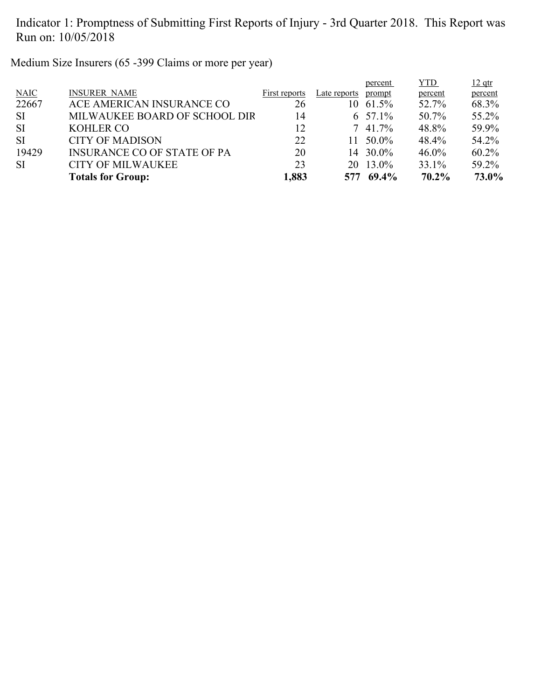Medium Size Insurers (65 -399 Claims or more per year)

| <b>SI</b>          | <b>CITY OF MILWAUKEE</b>                                     | 23            |              | 20 13.0%                     | 33.1%             | 59.2%             |
|--------------------|--------------------------------------------------------------|---------------|--------------|------------------------------|-------------------|-------------------|
| <b>SI</b><br>19429 | <b>CITY OF MADISON</b><br><b>INSURANCE CO OF STATE OF PA</b> | 22<br>20      |              | $11\quad 50.0\%$<br>14 30.0% | 48.4%<br>$46.0\%$ | 54.2%<br>$60.2\%$ |
| <b>SI</b>          | <b>KOHLER CO</b>                                             | 12            |              | $7\;41.7\%$                  | 48.8%             | 59.9%             |
| <b>SI</b>          | MILWAUKEE BOARD OF SCHOOL DIR                                | 14            |              | 6 $57.1\%$                   | 50.7%             | 55.2%             |
| 22667              | ACE AMERICAN INSURANCE CO                                    | 26            |              | $10 \t 61.5\%$               | 52.7%             | 68.3%             |
| <b>NAIC</b>        | <b>INSURER NAME</b>                                          | First reports | Late reports | prompt                       | percent           | percent           |
|                    |                                                              |               |              | percent                      | YTD.              | $12$ qtr          |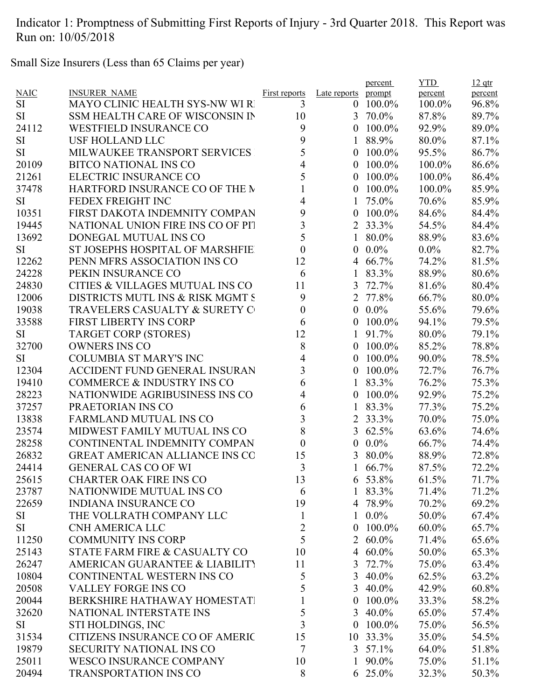Small Size Insurers (Less than 65 Claims per year)

|             |                                       |                      |                  | percent       | <b>YTD</b> | $12$ qtr |
|-------------|---------------------------------------|----------------------|------------------|---------------|------------|----------|
| <b>NAIC</b> | <b>INSURER NAME</b>                   | <b>First reports</b> | Late reports     | prompt        | percent    | percent  |
| SI          | <b>MAYO CLINIC HEALTH SYS-NW WI R</b> | 3                    | $\overline{0}$   | 100.0%        | 100.0%     | 96.8%    |
| <b>SI</b>   | SSM HEALTH CARE OF WISCONSIN IN       | 10                   | 3                | 70.0%         | 87.8%      | 89.7%    |
| 24112       | <b>WESTFIELD INSURANCE CO</b>         | 9                    | $\boldsymbol{0}$ | 100.0%        | 92.9%      | 89.0%    |
| <b>SI</b>   | <b>USF HOLLAND LLC</b>                | 9                    | $\mathbf{1}$     | 88.9%         | 80.0%      | 87.1%    |
| <b>SI</b>   | MILWAUKEE TRANSPORT SERVICES          | 5                    | $\boldsymbol{0}$ | $100.0\%$     | 95.5%      | 86.7%    |
| 20109       | <b>BITCO NATIONAL INS CO</b>          | 4                    | 0                | $100.0\%$     | 100.0%     | 86.6%    |
| 21261       | ELECTRIC INSURANCE CO                 | 5                    | 0                | 100.0%        | 100.0%     | 86.4%    |
| 37478       | HARTFORD INSURANCE CO OF THE M        |                      | 0                | 100.0%        | 100.0%     | 85.9%    |
| <b>SI</b>   | FEDEX FREIGHT INC                     | 4                    | 1                | 75.0%         | 70.6%      | 85.9%    |
| 10351       | FIRST DAKOTA INDEMNITY COMPAN         | 9                    | $\boldsymbol{0}$ | 100.0%        | 84.6%      | 84.4%    |
| 19445       | NATIONAL UNION FIRE INS CO OF PIT     | 3                    |                  | 2 33.3%       | 54.5%      | 84.4%    |
| 13692       | DONEGAL MUTUAL INS CO                 | 5                    | $\mathbf{1}$     | 80.0%         | 88.9%      | 83.6%    |
| <b>SI</b>   | ST JOSEPHS HOSPITAL OF MARSHFIE       | $\boldsymbol{0}$     | 0                | $0.0\%$       | $0.0\%$    | 82.7%    |
| 12262       | PENN MFRS ASSOCIATION INS CO          | 12                   | 4                | 66.7%         | 74.2%      | 81.5%    |
| 24228       | PEKIN INSURANCE CO                    | 6                    | 1                | 83.3%         | 88.9%      | 80.6%    |
| 24830       | CITIES & VILLAGES MUTUAL INS CO       | 11                   | 3                | 72.7%         | 81.6%      | 80.4%    |
| 12006       | DISTRICTS MUTL INS & RISK MGMT S      | 9                    | $\overline{2}$   | 77.8%         | 66.7%      | 80.0%    |
| 19038       | TRAVELERS CASUALTY & SURETY C         | $\boldsymbol{0}$     | $\boldsymbol{0}$ | $0.0\%$       | 55.6%      | 79.6%    |
| 33588       | <b>FIRST LIBERTY INS CORP</b>         | 6                    | $\theta$         | 100.0%        | 94.1%      | 79.5%    |
| <b>SI</b>   | <b>TARGET CORP (STORES)</b>           | 12                   | 1                | 91.7%         | 80.0%      | 79.1%    |
| 32700       | <b>OWNERS INS CO</b>                  | 8                    | $\boldsymbol{0}$ | 100.0%        | 85.2%      | 78.8%    |
| <b>SI</b>   | <b>COLUMBIA ST MARY'S INC</b>         | $\overline{4}$       | $\overline{0}$   | 100.0%        | 90.0%      | 78.5%    |
| 12304       | <b>ACCIDENT FUND GENERAL INSURAN</b>  | 3                    | $\overline{0}$   | 100.0%        | 72.7%      | 76.7%    |
| 19410       | <b>COMMERCE &amp; INDUSTRY INS CO</b> | 6                    | 1                | 83.3%         | 76.2%      | 75.3%    |
| 28223       | NATIONWIDE AGRIBUSINESS INS CO        | 4                    | $\theta$         | 100.0%        | 92.9%      | 75.2%    |
| 37257       | PRAETORIAN INS CO                     | 6                    | $\mathbf{1}$     | 83.3%         | 77.3%      | 75.2%    |
| 13838       | <b>FARMLAND MUTUAL INS CO</b>         | 3                    | 2                | 33.3%         | 70.0%      | 75.0%    |
| 23574       | MIDWEST FAMILY MUTUAL INS CO          | 8                    | 3                | 62.5%         | 63.6%      | 74.6%    |
| 28258       | CONTINENTAL INDEMNITY COMPAN          | $\boldsymbol{0}$     | $\boldsymbol{0}$ | $0.0\%$       | 66.7%      | 74.4%    |
| 26832       | <b>GREAT AMERICAN ALLIANCE INS CO</b> | 15                   | 3                | 80.0%         | 88.9%      | 72.8%    |
| 24414       | <b>GENERAL CAS CO OF WI</b>           | 3                    |                  | 66.7%         | 87.5%      | 72.2%    |
| 25615       | <b>CHARTER OAK FIRE INS CO</b>        | 13                   |                  | 6 53.8%       | 61.5%      | 71.7%    |
| 23787       | NATIONWIDE MUTUAL INS CO              | 6                    |                  | 1 83.3%       | 71.4%      | 71.2%    |
| 22659       | <b>INDIANA INSURANCE CO</b>           | 19                   |                  | 4 78.9%       | 70.2%      | 69.2%    |
|             | THE VOLLRATH COMPANY LLC              | $\mathbf{1}$         |                  | $1\ 0.0\%$    |            | 67.4%    |
| SI<br>SI    | <b>CNH AMERICA LLC</b>                |                      | $\boldsymbol{0}$ |               | 50.0%      |          |
|             | <b>COMMUNITY INS CORP</b>             | $\overline{2}$<br>5  |                  | $100.0\%$     | $60.0\%$   | 65.7%    |
| 11250       |                                       |                      |                  | 2 60.0%       | 71.4%      | 65.6%    |
| 25143       | STATE FARM FIRE & CASUALTY CO         | 10                   |                  | 4 $60.0\%$    | 50.0%      | 65.3%    |
| 26247       | AMERICAN GUARANTEE & LIABILITY        | 11                   | 3                | 72.7%         | 75.0%      | 63.4%    |
| 10804       | CONTINENTAL WESTERN INS CO            | 5                    |                  | 3 40.0%       | 62.5%      | 63.2%    |
| 20508       | <b>VALLEY FORGE INS CO</b>            | 5                    |                  | 3 40.0%       | 42.9%      | 60.8%    |
| 20044       | BERKSHIRE HATHAWAY HOMESTATI          |                      | $\boldsymbol{0}$ | $100.0\%$     | 33.3%      | 58.2%    |
| 32620       | NATIONAL INTERSTATE INS               | 5                    |                  | 3 40.0%       | 65.0%      | 57.4%    |
| SI          | STI HOLDINGS, INC                     | 3                    | $\overline{0}$   | $100.0\%$     | 75.0%      | 56.5%    |
| 31534       | CITIZENS INSURANCE CO OF AMERIC       | 15                   |                  | 10 33.3%      | 35.0%      | 54.5%    |
| 19879       | <b>SECURITY NATIONAL INS CO</b>       | 7                    |                  | $3\;\;57.1\%$ | 64.0%      | 51.8%    |
| 25011       | <b>WESCO INSURANCE COMPANY</b>        | 10                   |                  | 1 90.0%       | 75.0%      | 51.1%    |
| 20494       | <b>TRANSPORTATION INS CO</b>          | 8                    |                  | 6 25.0%       | 32.3%      | 50.3%    |